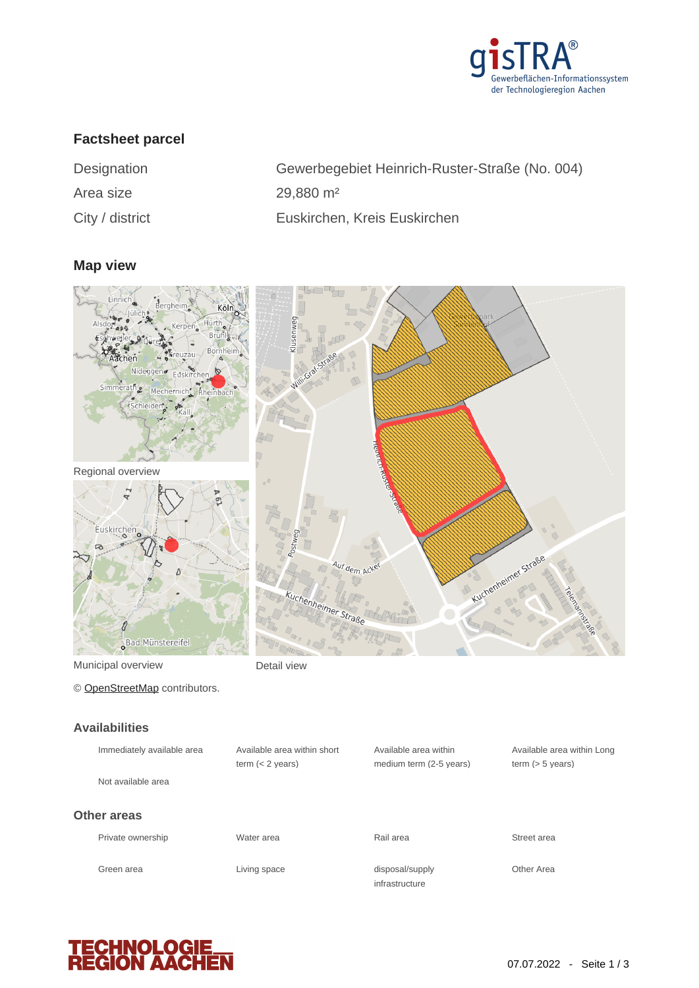

# **Factsheet parcel**

| Designation     | Gewerbegebiet Heinrich-Ruster-Straße (No. 004) |
|-----------------|------------------------------------------------|
| Area size       | $29,880 \text{ m}^2$                           |
| City / district | Euskirchen, Kreis Euskirchen                   |

## **Map view**



Municipal overview **Detail view** 

© [OpenStreetMap](http://www.openstreetmap.org/copyright) contributors.

#### **Availabilities**

| Immediately available area        | Available area within short<br>term $(< 2$ years) | Available area within<br>medium term (2-5 years) | Available area within Long<br>term $(> 5$ years) |
|-----------------------------------|---------------------------------------------------|--------------------------------------------------|--------------------------------------------------|
| Not available area<br>Other areas |                                                   |                                                  |                                                  |
| Private ownership                 | Water area                                        | Rail area                                        | Street area                                      |
| Green area                        | Living space                                      | disposal/supply<br>infrastructure                | Other Area                                       |

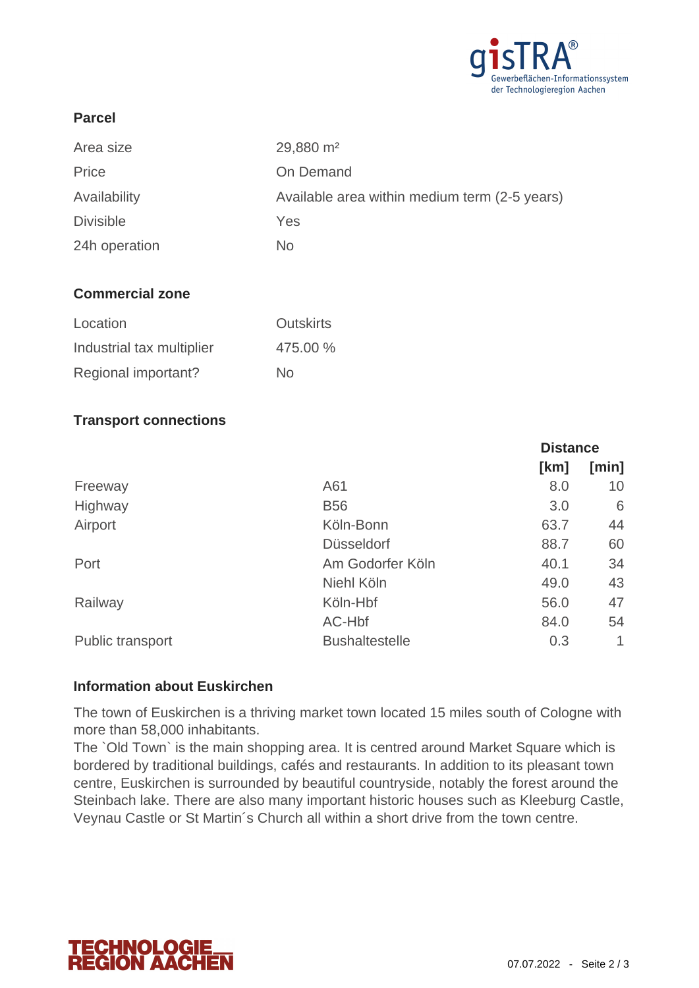

## **Parcel**

| Area size        | $29,880 \text{ m}^2$                          |
|------------------|-----------------------------------------------|
| Price            | On Demand                                     |
| Availability     | Available area within medium term (2-5 years) |
| <b>Divisible</b> | Yes                                           |
| 24h operation    | No                                            |

### **Commercial zone**

| Location                  | <b>Outskirts</b> |
|---------------------------|------------------|
| Industrial tax multiplier | 475.00 %         |
| Regional important?       | No.              |

### **Transport connections**

|                       | <b>Distance</b> |       |
|-----------------------|-----------------|-------|
|                       | [km]            | [min] |
| A61                   | 8.0             | 10    |
| <b>B56</b>            | 3.0             | 6     |
| Köln-Bonn             | 63.7            | 44    |
| <b>Düsseldorf</b>     | 88.7            | 60    |
| Am Godorfer Köln      | 40.1            | 34    |
| Niehl Köln            | 49.0            | 43    |
| Köln-Hbf              | 56.0            | 47    |
| AC-Hbf                | 84.0            | 54    |
| <b>Bushaltestelle</b> | 0.3             | 1     |
|                       |                 |       |

### **Information about Euskirchen**

The town of Euskirchen is a thriving market town located 15 miles south of Cologne with more than 58,000 inhabitants.

The `Old Town` is the main shopping area. It is centred around Market Square which is bordered by traditional buildings, cafés and restaurants. In addition to its pleasant town centre, Euskirchen is surrounded by beautiful countryside, notably the forest around the Steinbach lake. There are also many important historic houses such as Kleeburg Castle, Veynau Castle or St Martin´s Church all within a short drive from the town centre.